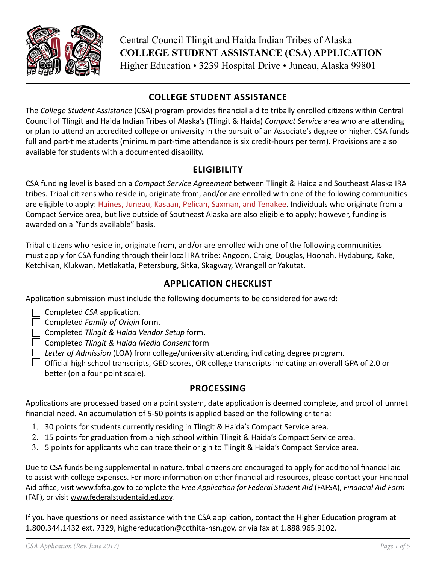

# **COLLEGE STUDENT ASSISTANCE**

The *College Student Assistance* (CSA) program provides financial aid to tribally enrolled citizens within Central Council of Tlingit and Haida Indian Tribes of Alaska's (Tlingit & Haida) *Compact Service* area who are attending or plan to attend an accredited college or university in the pursuit of an Associate's degree or higher. CSA funds full and part-time students (minimum part-time attendance is six credit-hours per term). Provisions are also available for students with a documented disability.

### **ELIGIBILITY**

CSA funding level is based on a *Compact Service Agreement* between Tlingit & Haida and Southeast Alaska IRA tribes. Tribal citizens who reside in, originate from, and/or are enrolled with one of the following communities are eligible to apply: Haines, Juneau, Kasaan, Pelican, Saxman, and Tenakee. Individuals who originate from a Compact Service area, but live outside of Southeast Alaska are also eligible to apply; however, funding is awarded on a "funds available" basis.

Tribal citizens who reside in, originate from, and/or are enrolled with one of the following communities must apply for CSA funding through their local IRA tribe: Angoon, Craig, Douglas, Hoonah, Hydaburg, Kake, Ketchikan, Klukwan, Metlakatla, Petersburg, Sitka, Skagway, Wrangell or Yakutat.

# **APPLICATION CHECKLIST**

Application submission must include the following documents to be considered for award:

 $\Box$  Completed *CSA* application.

Completed *Family of Origin* form.

Completed *Tlingit & Haida Vendor Setup* form.

Completed *Tlingit & Haida Media Consent* form

*Letter of Admission* (LOA) from college/university attending indicating degree program.

 $\Box$  Official high school transcripts, GED scores, OR college transcripts indicating an overall GPA of 2.0 or better (on a four point scale).

# **PROCESSING**

Applications are processed based on a point system, date application is deemed complete, and proof of unmet financial need. An accumulation of 5-50 points is applied based on the following criteria:

- 1. 30 points for students currently residing in Tlingit & Haida's Compact Service area.
- 2. 15 points for graduation from a high school within Tlingit & Haida's Compact Service area.
- 3. 5 points for applicants who can trace their origin to Tlingit & Haida's Compact Service area.

Due to CSA funds being supplemental in nature, tribal citizens are encouraged to apply for additional financial aid to assist with college expenses. For more information on other financial aid resources, please contact your Financial Aid office, visit www.fafsa.gov to complete the *Free Application for Federal Student Aid* (FAFSA), *Financial Aid Form* (FAF), or visit [www.federalstudentaid.ed.gov.](http://www.federalstudentaid.ed.gov)

If you have questions or need assistance with the CSA application, contact the Higher Education program at 1.800.344.1432 ext. 7329, highereducation@ccthita-nsn.gov, or via fax at 1.888.965.9102.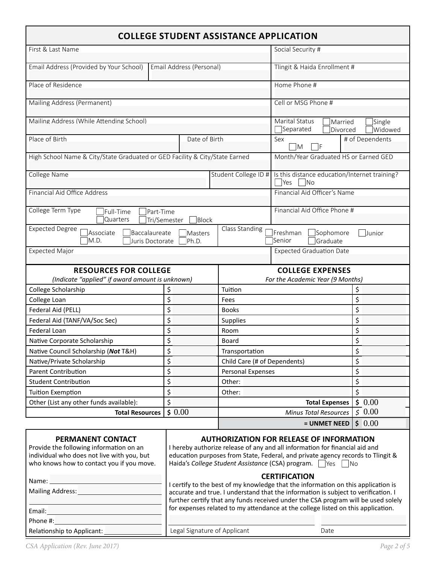| <b>COLLEGE STUDENT ASSISTANCE APPLICATION</b>                                                                                                                                                                                                                                                                                                                                                                                                                                                                                                                                                                                                                                                   |                                                                                                                                                                       |                                                                                        |                                                                    |                    |
|-------------------------------------------------------------------------------------------------------------------------------------------------------------------------------------------------------------------------------------------------------------------------------------------------------------------------------------------------------------------------------------------------------------------------------------------------------------------------------------------------------------------------------------------------------------------------------------------------------------------------------------------------------------------------------------------------|-----------------------------------------------------------------------------------------------------------------------------------------------------------------------|----------------------------------------------------------------------------------------|--------------------------------------------------------------------|--------------------|
| First & Last Name                                                                                                                                                                                                                                                                                                                                                                                                                                                                                                                                                                                                                                                                               |                                                                                                                                                                       | Social Security #                                                                      |                                                                    |                    |
| Email Address (Provided by Your School)                                                                                                                                                                                                                                                                                                                                                                                                                                                                                                                                                                                                                                                         | Email Address (Personal)                                                                                                                                              |                                                                                        | Tlingit & Haida Enrollment #                                       |                    |
| Place of Residence                                                                                                                                                                                                                                                                                                                                                                                                                                                                                                                                                                                                                                                                              |                                                                                                                                                                       |                                                                                        | Home Phone #                                                       |                    |
| Mailing Address (Permanent)                                                                                                                                                                                                                                                                                                                                                                                                                                                                                                                                                                                                                                                                     |                                                                                                                                                                       |                                                                                        | Cell or MSG Phone #                                                |                    |
| Mailing Address (While Attending School)                                                                                                                                                                                                                                                                                                                                                                                                                                                                                                                                                                                                                                                        |                                                                                                                                                                       |                                                                                        | Marital Status<br>Married<br>Separated<br>Divorced                 | Single<br>lWidowed |
| Place of Birth                                                                                                                                                                                                                                                                                                                                                                                                                                                                                                                                                                                                                                                                                  | Date of Birth                                                                                                                                                         |                                                                                        | Sex<br>IM.<br>IF                                                   | # of Dependents    |
| High School Name & City/State Graduated or GED Facility & City/State Earned                                                                                                                                                                                                                                                                                                                                                                                                                                                                                                                                                                                                                     |                                                                                                                                                                       |                                                                                        | Month/Year Graduated HS or Earned GED                              |                    |
| College Name                                                                                                                                                                                                                                                                                                                                                                                                                                                                                                                                                                                                                                                                                    |                                                                                                                                                                       | Student College ID #                                                                   | Is this distance education/Internet training?<br> Yes<br><b>No</b> |                    |
| Financial Aid Office Address                                                                                                                                                                                                                                                                                                                                                                                                                                                                                                                                                                                                                                                                    |                                                                                                                                                                       |                                                                                        | Financial Aid Officer's Name                                       |                    |
| College Term Type<br>Full-Time<br>Part-Time<br><b>Quarters</b>                                                                                                                                                                                                                                                                                                                                                                                                                                                                                                                                                                                                                                  | Tri/Semester<br>Block                                                                                                                                                 |                                                                                        | Financial Aid Office Phone #                                       |                    |
| <b>Expected Degree</b><br>Baccalaureate<br>Associate<br>M.D.<br>Juris Doctorate                                                                                                                                                                                                                                                                                                                                                                                                                                                                                                                                                                                                                 | Masters<br>Ph.D.                                                                                                                                                      | Class Standing<br><b>IFreshman</b><br>Sophomore<br><b>Junior</b><br>Senior<br>Graduate |                                                                    |                    |
| <b>Expected Major</b>                                                                                                                                                                                                                                                                                                                                                                                                                                                                                                                                                                                                                                                                           |                                                                                                                                                                       |                                                                                        | <b>Expected Graduation Date</b>                                    |                    |
| <b>RESOURCES FOR COLLEGE</b><br>(Indicate "applied" if award amount is unknown)                                                                                                                                                                                                                                                                                                                                                                                                                                                                                                                                                                                                                 | <b>COLLEGE EXPENSES</b><br>For the Academic Year (9 Months)                                                                                                           |                                                                                        |                                                                    |                    |
| College Scholarship                                                                                                                                                                                                                                                                                                                                                                                                                                                                                                                                                                                                                                                                             | \$                                                                                                                                                                    | Tuition                                                                                |                                                                    | \$                 |
| College Loan                                                                                                                                                                                                                                                                                                                                                                                                                                                                                                                                                                                                                                                                                    | \$                                                                                                                                                                    | Fees                                                                                   |                                                                    | \$                 |
| Federal Aid (PELL)                                                                                                                                                                                                                                                                                                                                                                                                                                                                                                                                                                                                                                                                              | \$                                                                                                                                                                    | <b>Books</b>                                                                           |                                                                    | \$                 |
| Federal Aid (TANF/VA/Soc Sec)                                                                                                                                                                                                                                                                                                                                                                                                                                                                                                                                                                                                                                                                   | \$                                                                                                                                                                    | \$<br>Supplies                                                                         |                                                                    |                    |
| Federal Loan                                                                                                                                                                                                                                                                                                                                                                                                                                                                                                                                                                                                                                                                                    | \$                                                                                                                                                                    | \$<br>Room                                                                             |                                                                    |                    |
| Native Corporate Scholarship                                                                                                                                                                                                                                                                                                                                                                                                                                                                                                                                                                                                                                                                    | \$                                                                                                                                                                    | \$<br><b>Board</b>                                                                     |                                                                    |                    |
| Native Council Scholarship (Not T&H)                                                                                                                                                                                                                                                                                                                                                                                                                                                                                                                                                                                                                                                            | \$                                                                                                                                                                    | \$<br>Transportation                                                                   |                                                                    |                    |
| Native/Private Scholarship                                                                                                                                                                                                                                                                                                                                                                                                                                                                                                                                                                                                                                                                      | \$                                                                                                                                                                    | \$<br>Child Care (# of Dependents)                                                     |                                                                    |                    |
| <b>Parent Contribution</b>                                                                                                                                                                                                                                                                                                                                                                                                                                                                                                                                                                                                                                                                      | \$                                                                                                                                                                    | \$<br>Personal Expenses                                                                |                                                                    |                    |
| <b>Student Contribution</b>                                                                                                                                                                                                                                                                                                                                                                                                                                                                                                                                                                                                                                                                     | \$                                                                                                                                                                    | Other:                                                                                 |                                                                    | \$                 |
| <b>Tuition Exemption</b>                                                                                                                                                                                                                                                                                                                                                                                                                                                                                                                                                                                                                                                                        | \$                                                                                                                                                                    | Other:                                                                                 |                                                                    | \$                 |
| Other (List any other funds available):                                                                                                                                                                                                                                                                                                                                                                                                                                                                                                                                                                                                                                                         | \$                                                                                                                                                                    |                                                                                        | <b>Total Expenses</b>                                              | \$0.00             |
| <b>Total Resources</b>                                                                                                                                                                                                                                                                                                                                                                                                                                                                                                                                                                                                                                                                          | \$0.00                                                                                                                                                                |                                                                                        | <b>Minus Total Resources</b>                                       | 50.00              |
|                                                                                                                                                                                                                                                                                                                                                                                                                                                                                                                                                                                                                                                                                                 |                                                                                                                                                                       |                                                                                        | = UNMET NEED                                                       | \$0.00             |
| <b>AUTHORIZATION FOR RELEASE OF INFORMATION</b><br><b>PERMANENT CONTACT</b><br>Provide the following information on an<br>I hereby authorize release of any and all information for financial aid and<br>individual who does not live with you, but<br>education purposes from State, Federal, and private agency records to Tlingit &<br>who knows how to contact you if you move.<br>Haida's College Student Assistance (CSA) program. Wes No<br><b>CERTIFICATION</b><br>Name: Name<br>I certify to the best of my knowledge that the information on this application is<br>Mailing Address: __________<br>accurate and true. I understand that the information is subject to verification. I |                                                                                                                                                                       |                                                                                        |                                                                    |                    |
| Email:                                                                                                                                                                                                                                                                                                                                                                                                                                                                                                                                                                                                                                                                                          | further certify that any funds received under the CSA program will be used solely<br>for expenses related to my attendance at the college listed on this application. |                                                                                        |                                                                    |                    |
| <u> 1990 - Jan Barbara Barat, p</u><br>Phone #:                                                                                                                                                                                                                                                                                                                                                                                                                                                                                                                                                                                                                                                 |                                                                                                                                                                       |                                                                                        |                                                                    |                    |
|                                                                                                                                                                                                                                                                                                                                                                                                                                                                                                                                                                                                                                                                                                 | Legal Signature of Applicant                                                                                                                                          |                                                                                        | Date                                                               |                    |
| Relationship to Applicant:                                                                                                                                                                                                                                                                                                                                                                                                                                                                                                                                                                                                                                                                      |                                                                                                                                                                       |                                                                                        |                                                                    |                    |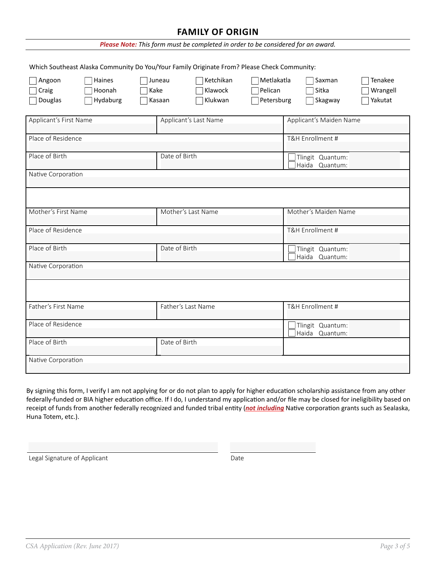#### **FAMILY OF ORIGIN**

| Please Note: This form must be completed in order to be considered for an award. |                              |                          |                                                                                             |                                     |                                    |                                |
|----------------------------------------------------------------------------------|------------------------------|--------------------------|---------------------------------------------------------------------------------------------|-------------------------------------|------------------------------------|--------------------------------|
|                                                                                  |                              |                          | Which Southeast Alaska Community Do You/Your Family Originate From? Please Check Community: |                                     |                                    |                                |
| Angoon<br>Craig<br>Douglas                                                       | Haines<br>Hoonah<br>Hydaburg | Juneau<br>Kake<br>Kasaan | Ketchikan<br>Klawock<br>Klukwan                                                             | Metlakatla<br>Pelican<br>Petersburg | Saxman<br>Sitka<br>Skagway         | Tenakee<br>Wrangell<br>Yakutat |
| Applicant's First Name                                                           |                              |                          | Applicant's Last Name                                                                       |                                     | Applicant's Maiden Name            |                                |
| Place of Residence                                                               |                              |                          |                                                                                             |                                     | T&H Enrollment #                   |                                |
| Place of Birth                                                                   |                              | Date of Birth            |                                                                                             |                                     | Tlingit Quantum:<br>Haida Quantum: |                                |
| Native Corporation                                                               |                              |                          |                                                                                             |                                     |                                    |                                |
|                                                                                  |                              |                          |                                                                                             |                                     |                                    |                                |
| Mother's First Name                                                              |                              |                          | Mother's Last Name                                                                          |                                     | Mother's Maiden Name               |                                |
| Place of Residence                                                               |                              |                          |                                                                                             |                                     | T&H Enrollment #                   |                                |
| Place of Birth                                                                   |                              | Date of Birth            |                                                                                             |                                     | Tlingit Quantum:<br>Haida Quantum: |                                |
| Native Corporation                                                               |                              |                          |                                                                                             |                                     |                                    |                                |
|                                                                                  |                              |                          |                                                                                             |                                     |                                    |                                |
| Father's First Name                                                              |                              |                          | Father's Last Name                                                                          |                                     | T&H Enrollment #                   |                                |
| Place of Residence                                                               |                              |                          |                                                                                             |                                     | Tlingit Quantum:<br>Haida Quantum: |                                |
| Place of Birth                                                                   |                              | Date of Birth            |                                                                                             |                                     |                                    |                                |
| Native Corporation                                                               |                              |                          |                                                                                             |                                     |                                    |                                |

By signing this form, I verify I am not applying for or do not plan to apply for higher education scholarship assistance from any other federally-funded or BIA higher education office. If I do, I understand my application and/or file may be closed for ineligibility based on receipt of funds from another federally recognized and funded tribal entity (*not including* Native corporation grants such as Sealaska, Huna Totem, etc.).

Legal Signature of Applicant Date Controller and Date Date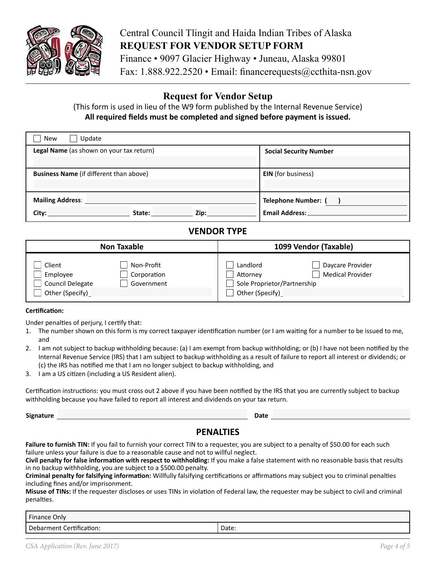

# Central Council Tlingit and Haida Indian Tribes of Alaska **REQUEST FOR VENDOR SETUP FORM**

Finance • 9097 Glacier Highway • Juneau, Alaska 99801 Fax: 1.888.922.2520 • Email: financerequests@ccthita-nsn.gov

### **Request for Vendor Setup**

(This form is used in lieu of the W9 form published by the Internal Revenue Service) **All required fields must be completed and signed before payment is issued.**

| Update<br><b>New</b>                           |                               |
|------------------------------------------------|-------------------------------|
| Legal Name (as shown on your tax return)       | <b>Social Security Number</b> |
|                                                |                               |
| <b>Business Name</b> (if different than above) | <b>EIN</b> (for business)     |
|                                                |                               |
| <b>Mailing Address:</b>                        | <b>Telephone Number:</b>      |
| Zip:<br>City:<br>State:                        | <b>Email Address:</b>         |

#### **VENDOR TYPE**

| <b>Non Taxable</b>                                                                                   | 1099 Vendor (Taxable)                                                                                                 |  |
|------------------------------------------------------------------------------------------------------|-----------------------------------------------------------------------------------------------------------------------|--|
| Client<br>Non-Profit<br>Employee<br>Corporation<br>Council Delegate<br>Government<br>Other (Specify) | Landlord<br>Daycare Provider<br><b>Medical Provider</b><br>Attornev<br>Sole Proprietor/Partnership<br>Other (Specify) |  |

#### **Certification:**

Under penalties of perjury, I certify that:

- 1. The number shown on this form is my correct taxpayer identification number (or I am waiting for a number to be issued to me, and
- 2. I am not subject to backup withholding because: (a) I am exempt from backup withholding; or (b) I have not been notified by the Internal Revenue Service (IRS) that I am subject to backup withholding as a result of failure to report all interest or dividends; or (c) the IRS has notified me that I am no longer subject to backup withholding, and
- 3. I am a US citizen (including a US Resident alien).

Certification instructions: you must cross out 2 above if you have been notified by the IRS that you are currently subject to backup withholding because you have failed to report all interest and dividends on your tax return.

**Signature Date** 

#### **PENALTIES**

Failure to furnish TIN: If you fail to furnish your correct TIN to a requester, you are subject to a penalty of \$50.00 for each such failure unless your failure is due to a reasonable cause and not to willful neglect.

**Civil penalty for false information with respect to withholding:** If you make a false statement with no reasonable basis that results in no backup withholding, you are subject to a \$500.00 penalty.

**Criminal penalty for falsifying information:** Willfully falsifying certifications or affirmations may subject you to criminal penalties including fines and/or imprisonment.

**Misuse of TINs:** If the requester discloses or uses TINs in violation of Federal law, the requester may be subject to civil and criminal penalties.

| Finance Only             |       |
|--------------------------|-------|
| Debarment Certification: | Date: |